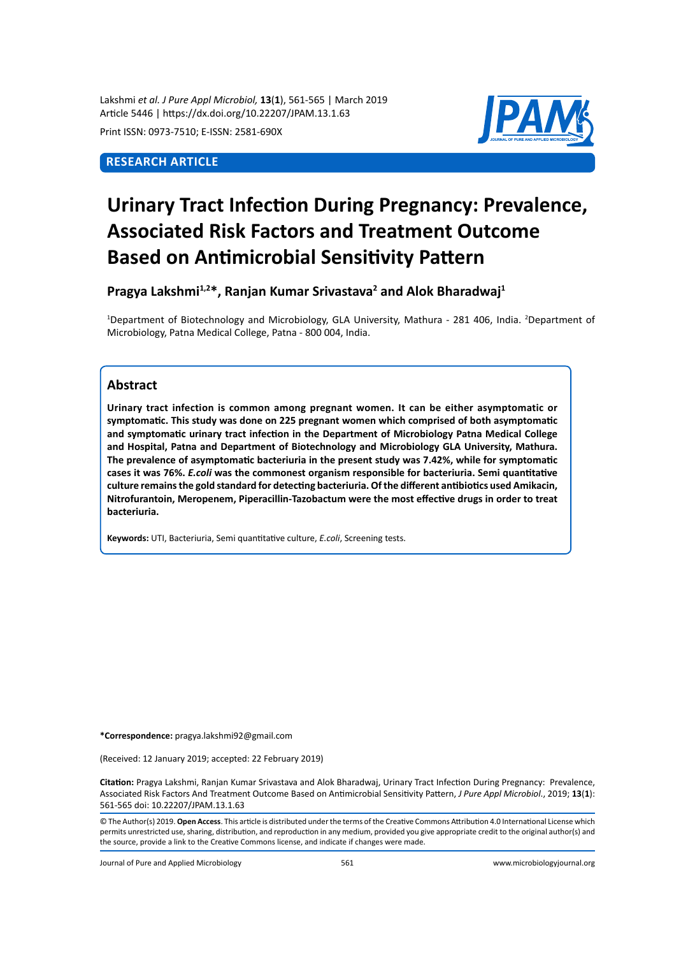Lakshmi *et al. J Pure Appl Microbiol,* **13**(**1**), 561-565 | March 2019 Article 5446 | https://dx.doi.org/10.22207/JPAM.13.1.63

Print ISSN: 0973-7510; E-ISSN: 2581-690X

# **Research Article**



# **Urinary Tract Infection During Pregnancy: Prevalence, Associated Risk Factors and Treatment Outcome Based on Antimicrobial Sensitivity Pattern**

Pragya Lakshmi<sup>1,2\*</sup>, Ranjan Kumar Srivastava<sup>2</sup> and Alok Bharadwaj<sup>1</sup>

<sup>1</sup>Department of Biotechnology and Microbiology, GLA University, Mathura - 281 406, India. <sup>2</sup>Department of Microbiology, Patna Medical College, Patna - 800 004, India.

## **Abstract**

**Urinary tract infection is common among pregnant women. It can be either asymptomatic or symptomatic. This study was done on 225 pregnant women which comprised of both asymptomatic and symptomatic urinary tract infection in the Department of Microbiology Patna Medical College and Hospital, Patna and Department of Biotechnology and Microbiology GLA University, Mathura. The prevalence of asymptomatic bacteriuria in the present study was 7.42%, while for symptomatic cases it was 76%.** *E.coli* **was the commonest organism responsible for bacteriuria. Semi quantitative culture remains the gold standard for detecting bacteriuria. Of the different antibiotics used Amikacin, Nitrofurantoin, Meropenem, Piperacillin-Tazobactum were the most effective drugs in order to treat bacteriuria.** 

**Keywords:** UTI, Bacteriuria, Semi quantitative culture, *E.coli*, Screening tests.

**\*Correspondence:** pragya.lakshmi92@gmail.com

(Received: 12 January 2019; accepted: 22 February 2019)

**Citation:** Pragya Lakshmi, Ranjan Kumar Srivastava and Alok Bharadwaj, Urinary Tract Infection During Pregnancy: Prevalence, Associated Risk Factors And Treatment Outcome Based on Antimicrobial Sensitivity Pattern, *J Pure Appl Microbiol*., 2019; **13**(**1**): 561-565 doi: 10.22207/JPAM.13.1.63

© The Author(s) 2019. **Open Access**. This article is distributed under the terms of the Creative Commons Attribution 4.0 International License which permits unrestricted use, sharing, distribution, and reproduction in any medium, provided you give appropriate credit to the original author(s) and the source, provide a link to the Creative Commons license, and indicate if changes were made.

Journal of Pure and Applied Microbiology 561 www.microbiologyjournal.org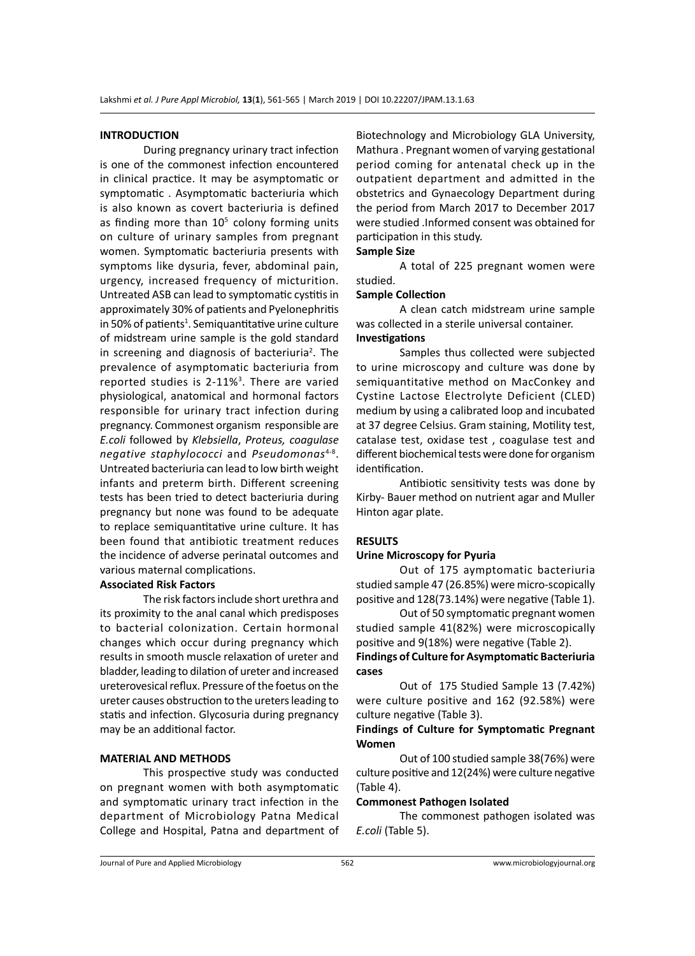## **INTRODUCTION**

During pregnancy urinary tract infection is one of the commonest infection encountered in clinical practice. It may be asymptomatic or symptomatic . Asymptomatic bacteriuria which is also known as covert bacteriuria is defined as finding more than  $10<sup>5</sup>$  colony forming units on culture of urinary samples from pregnant women. Symptomatic bacteriuria presents with symptoms like dysuria, fever, abdominal pain, urgency, increased frequency of micturition. Untreated ASB can lead to symptomatic cystitis in approximately 30% of patients and Pyelonephritis in 50% of patients<sup>1</sup>. Semiquantitative urine culture of midstream urine sample is the gold standard in screening and diagnosis of bacteriuria<sup>2</sup>. The prevalence of asymptomatic bacteriuria from reported studies is 2-11%<sup>3</sup>. There are varied physiological, anatomical and hormonal factors responsible for urinary tract infection during pregnancy. Commonest organism responsible are *E.coli* followed by *Klebsiella*, *Proteus, coagulase negative staphylococci* and *Pseudomonas*4-8. Untreated bacteriuria can lead to low birth weight infants and preterm birth. Different screening tests has been tried to detect bacteriuria during pregnancy but none was found to be adequate to replace semiquantitative urine culture. It has been found that antibiotic treatment reduces the incidence of adverse perinatal outcomes and various maternal complications.

## **Associated Risk Factors**

The risk factors include short urethra and its proximity to the anal canal which predisposes to bacterial colonization. Certain hormonal changes which occur during pregnancy which results in smooth muscle relaxation of ureter and bladder, leading to dilation of ureter and increased ureterovesical reflux. Pressure of the foetus on the ureter causes obstruction to the ureters leading to statis and infection. Glycosuria during pregnancy may be an additional factor.

## **MATERIAL AND METHODS**

This prospective study was conducted on pregnant women with both asymptomatic and symptomatic urinary tract infection in the department of Microbiology Patna Medical College and Hospital, Patna and department of Biotechnology and Microbiology GLA University, Mathura . Pregnant women of varying gestational period coming for antenatal check up in the outpatient department and admitted in the obstetrics and Gynaecology Department during the period from March 2017 to December 2017 were studied .Informed consent was obtained for participation in this study.

# **Sample Size**

A total of 225 pregnant women were studied.

#### **Sample Collection**

A clean catch midstream urine sample was collected in a sterile universal container. **Investigations**

Samples thus collected were subjected to urine microscopy and culture was done by semiquantitative method on MacConkey and Cystine Lactose Electrolyte Deficient (CLED) medium by using a calibrated loop and incubated at 37 degree Celsius. Gram staining, Motility test, catalase test, oxidase test , coagulase test and different biochemical tests were done for organism identification.

Antibiotic sensitivity tests was done by Kirby- Bauer method on nutrient agar and Muller Hinton agar plate.

## **RESULTS**

## **Urine Microscopy for Pyuria**

Out of 175 aymptomatic bacteriuria studied sample 47 (26.85%) were micro-scopically positive and 128(73.14%) were negative (Table 1).

Out of 50 symptomatic pregnant women studied sample 41(82%) were microscopically positive and 9(18%) were negative (Table 2).

## **Findings of Culture for Asymptomatic Bacteriuria cases**

Out of 175 Studied Sample 13 (7.42%) were culture positive and 162 (92.58%) were culture negative (Table 3).

## **Findings of Culture for Symptomatic Pregnant Women**

Out of 100 studied sample 38(76%) were culture positive and 12(24%) were culture negative (Table 4).

## **Commonest Pathogen Isolated**

The commonest pathogen isolated was *E.coli* (Table 5).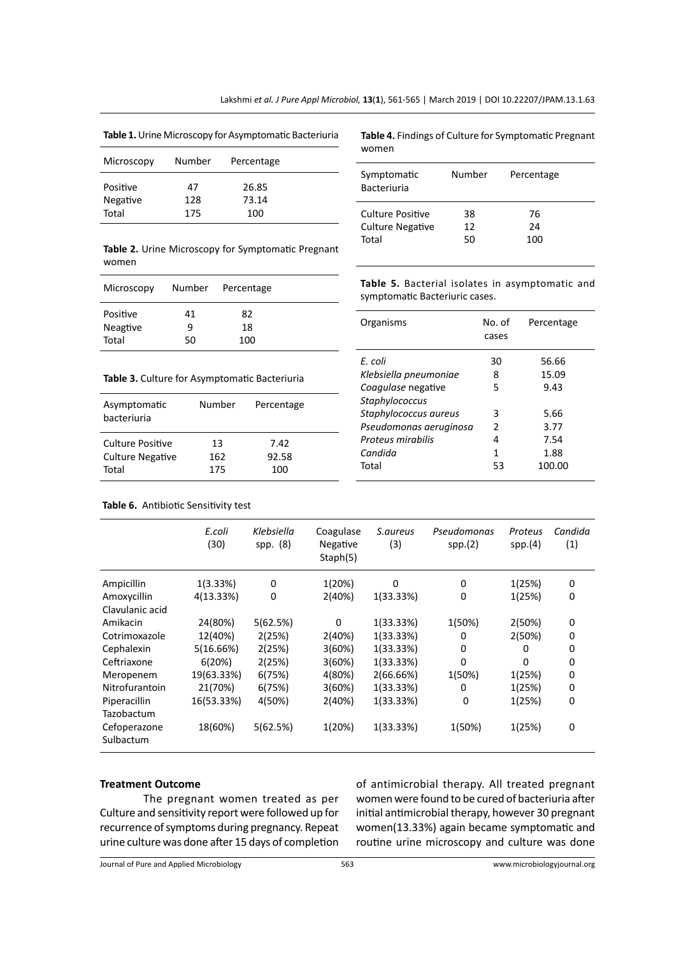**Table 1.** Urine Microscopy for Asymptomatic Bacteriuria

| Microscopy | Number | Percentage |  |
|------------|--------|------------|--|
| Positive   | 47     | 26.85      |  |
| Negative   | 128    | 73.14      |  |
| Total      | 175    | 100        |  |

**Table 4.** Findings of Culture for Symptomatic Pregnant women

| Symptomatic<br><b>Bacteriuria</b> | Number | Percentage |  |
|-----------------------------------|--------|------------|--|
| Culture Positive                  | 38     | 76         |  |
| <b>Culture Negative</b>           | 12     | 24         |  |
| Total                             | 50     | 100        |  |

**Table 2.** Urine Microscopy for Symptomatic Pregnant women

| Microscopy |    | Number Percentage |  |
|------------|----|-------------------|--|
| Positive   | 41 | 82                |  |
| Neagtive   | ٩  | 18                |  |
| Total      | 50 | 100               |  |

**Table 3.** Culture for Asymptomatic Bacteriuria

| Asymptomatic<br>bacteriuria | Number | Percentage |
|-----------------------------|--------|------------|
| Culture Positive            | 13     | 7.42       |
| <b>Culture Negative</b>     | 162    | 92.58      |
| Total                       | 175    | 100        |

**Table 5.** Bacterial isolates in asymptomatic and symptomatic Bacteriuric cases.

| No. of<br>cases | Percentage |
|-----------------|------------|
| 30              | 56.66      |
| 8               | 15.09      |
| 5               | 9.43       |
|                 |            |
| 3               | 5.66       |
| $\mathcal{P}$   | 3.77       |
| 4               | 7.54       |
| 1               | 1.88       |
| 53              | 100.00     |
|                 |            |

**Table 6.** Antibiotic Sensitivity test

|                                         | E.coli<br>(30) | Klebsiella<br>spp. (8) | Coagulase<br>Negative<br>Staph(5) | S.aureus<br>(3) | Pseudomonas<br>spp.(2) | Proteus<br>spp.(4) | Candida<br>(1) |
|-----------------------------------------|----------------|------------------------|-----------------------------------|-----------------|------------------------|--------------------|----------------|
| Ampicillin                              | 1(3.33%)       | 0                      | 1(20%)                            | 0               | 0                      | 1(25%)             | 0              |
| Amoxycillin                             | 4(13.33%)      | 0                      | 2(40%)                            | 1(33.33%)       | 0                      | 1(25%)             | $\mathbf 0$    |
| Clavulanic acid                         |                |                        |                                   |                 |                        |                    |                |
| Amikacin                                | 24(80%)        | 5(62.5%)               | 0                                 | 1(33.33%)       | 1(50%)                 | 2(50%)             | 0              |
| Cotrimoxazole                           | 12(40%)        | 2(25%)                 | 2(40%)                            | 1(33.33%)       | 0                      | 2(50%)             | 0              |
| Cephalexin                              | 5(16.66%)      | 2(25%)                 | 3(60%)                            | 1(33.33%)       | 0                      | 0                  | 0              |
| Ceftriaxone                             | 6(20%)         | 2(25%)                 | 3(60%)                            | 1(33.33%)       | $\Omega$               | 0                  | 0              |
| Meropenem                               | 19(63.33%)     | 6(75%)                 | 4(80%)                            | 2(66.66%)       | 1(50%)                 | 1(25%)             | 0              |
| Nitrofurantoin                          | 21(70%)        | 6(75%)                 | 3(60%)                            | 1(33.33%)       | 0                      | 1(25%)             | 0              |
| Piperacillin                            | 16(53.33%)     | 4(50%)                 | 2(40%)                            | 1(33.33%)       | $\mathbf 0$            | 1(25%)             | $\mathbf 0$    |
| Tazobactum<br>Cefoperazone<br>Sulbactum | 18(60%)        | 5(62.5%)               | 1(20%)                            | 1(33.33%)       | 1(50%)                 | 1(25%)             | 0              |

#### **Treatment Outcome**

The pregnant women treated as per Culture and sensitivity report were followed up for recurrence of symptoms during pregnancy. Repeat urine culture was done after 15 days of completion of antimicrobial therapy. All treated pregnant women were found to be cured of bacteriuria after initial antimicrobial therapy, however 30 pregnant women(13.33%) again became symptomatic and routine urine microscopy and culture was done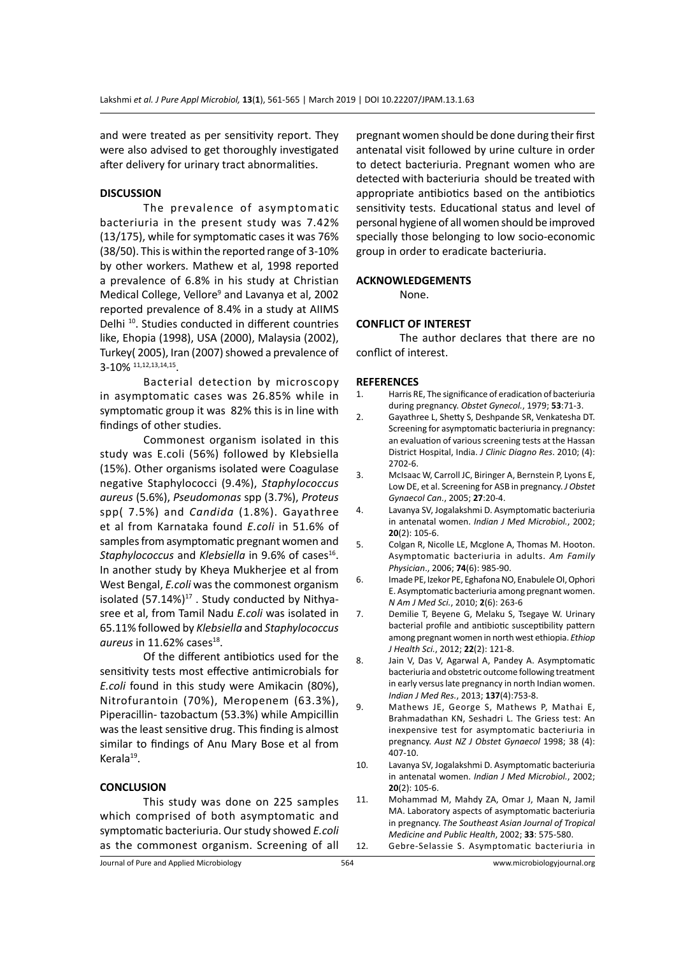and were treated as per sensitivity report. They were also advised to get thoroughly investigated after delivery for urinary tract abnormalities.

### **DISCUSSION**

The prevalence of asymptomatic bacteriuria in the present study was 7.42% (13/175), while for symptomatic cases it was 76% (38/50). This is within the reported range of 3-10% by other workers. Mathew et al, 1998 reported a prevalence of 6.8% in his study at Christian Medical College, Vellore<sup>9</sup> and Lavanya et al, 2002 reported prevalence of 8.4% in a study at AIIMS Delhi<sup>10</sup>. Studies conducted in different countries like, Ehopia (1998), USA (2000), Malaysia (2002), Turkey( 2005), Iran (2007) showed a prevalence of 3-10% 11,12,13,14,15.

Bacterial detection by microscopy in asymptomatic cases was 26.85% while in symptomatic group it was 82% this is in line with findings of other studies.

Commonest organism isolated in this study was E.coli (56%) followed by Klebsiella (15%). Other organisms isolated were Coagulase negative Staphylococci (9.4%), *Staphylococcus aureus* (5.6%), *Pseudomonas* spp (3.7%), *Proteus*  spp( 7.5%) and *Candida* (1.8%). Gayathree et al from Karnataka found *E.coli* in 51.6% of samples from asymptomatic pregnant women and Staphylococcus and *Klebsiella* in 9.6% of cases<sup>16</sup>. In another study by Kheya Mukherjee et al from West Bengal, *E.coli* was the commonest organism isolated  $(57.14\%)^{17}$ . Study conducted by Nithyasree et al, from Tamil Nadu *E.coli* was isolated in 65.11% followed by *Klebsiella* and *Staphylococcus*  aureus in 11.62% cases<sup>18</sup>.

Of the different antibiotics used for the sensitivity tests most effective antimicrobials for *E.coli* found in this study were Amikacin (80%), Nitrofurantoin (70%), Meropenem (63.3%), Piperacillin- tazobactum (53.3%) while Ampicillin was the least sensitive drug. This finding is almost similar to findings of Anu Mary Bose et al from Kerala<sup>19</sup>.

## **CONCLUSION**

This study was done on 225 samples which comprised of both asymptomatic and symptomatic bacteriuria. Our study showed *E.coli*  as the commonest organism. Screening of all pregnant women should be done during their first antenatal visit followed by urine culture in order to detect bacteriuria. Pregnant women who are detected with bacteriuria should be treated with appropriate antibiotics based on the antibiotics sensitivity tests. Educational status and level of personal hygiene of all women should be improved specially those belonging to low socio-economic group in order to eradicate bacteriuria.

## **ACKNOWLEDGEMENTS**

None.

#### **CONFLICT OF INTEREST**

The author declares that there are no conflict of interest.

#### **REFERENCES**

- 1. Harris RE, The significance of eradication of bacteriuria during pregnancy. *Obstet Gynecol.*, 1979; **53**:71-3.
- 2. Gayathree L, Shetty S, Deshpande SR, Venkatesha DT. Screening for asymptomatic bacteriuria in pregnancy: an evaluation of various screening tests at the Hassan District Hospital, India. *J Clinic Diagno Res*. 2010; (4): 2702-6.
- 3. McIsaac W, Carroll JC, Biringer A, Bernstein P, Lyons E, Low DE, et al. Screening for ASB in pregnancy. *J Obstet Gynaecol Can.*, 2005; **27**:20-4.
- 4. Lavanya SV, Jogalakshmi D. Asymptomatic bacteriuria in antenatal women. *Indian J Med Microbiol.*, 2002; **20**(2): 105-6.
- 5. Colgan R, Nicolle LE, Mcglone A, Thomas M. Hooton. Asymptomatic bacteriuria in adults. *Am Family Physician*., 2006; **74**(6): 985-90.
- 6. Imade PE, Izekor PE, Eghafona NO, Enabulele OI, Ophori E. Asymptomatic bacteriuria among pregnant women. *N Am J Med Sci.*, 2010; **2**(6): 263-6
- 7. Demilie T, Beyene G, Melaku S, Tsegaye W. Urinary bacterial profile and antibiotic susceptibility pattern among pregnant women in north west ethiopia. *Ethiop J Health Sci.*, 2012; **22**(2): 121-8.
- 8. Jain V, Das V, Agarwal A, Pandey A. Asymptomatic bacteriuria and obstetric outcome following treatment in early versus late pregnancy in north Indian women. *Indian J Med Res.*, 2013; **137**(4):753-8.
- 9. Mathews JE, George S, Mathews P, Mathai E, Brahmadathan KN, Seshadri L. The Griess test: An inexpensive test for asymptomatic bacteriuria in pregnancy. *Aust NZ J Obstet Gynaecol* 1998; 38 (4): 407-10.
- 10. Lavanya SV, Jogalakshmi D. Asymptomatic bacteriuria in antenatal women. *Indian J Med Microbiol.*, 2002; **20**(2): 105-6.
- 11. Mohammad M, Mahdy ZA, Omar J, Maan N, Jamil MA. Laboratory aspects of asymptomatic bacteriuria in pregnancy. *The Southeast Asian Journal of Tropical Medicine and Public Health*, 2002; **33**: 575-580. 12. Gebre-Selassie S. Asymptomatic bacteriuria in